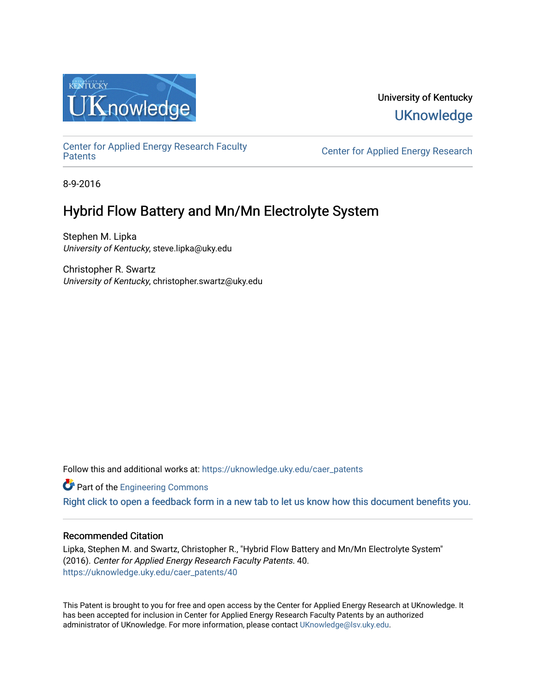

# University of Kentucky **UKnowledge**

[Center for Applied Energy Research Faculty](https://uknowledge.uky.edu/caer_patents)

Center for Applied Energy Research

8-9-2016

# Hybrid Flow Battery and Mn/Mn Electrolyte System

Stephen M. Lipka University of Kentucky, steve.lipka@uky.edu

Christopher R. Swartz University of Kentucky, christopher.swartz@uky.edu

Follow this and additional works at: [https://uknowledge.uky.edu/caer\\_patents](https://uknowledge.uky.edu/caer_patents?utm_source=uknowledge.uky.edu%2Fcaer_patents%2F40&utm_medium=PDF&utm_campaign=PDFCoverPages) 

**Part of the [Engineering Commons](http://network.bepress.com/hgg/discipline/217?utm_source=uknowledge.uky.edu%2Fcaer_patents%2F40&utm_medium=PDF&utm_campaign=PDFCoverPages)** 

[Right click to open a feedback form in a new tab to let us know how this document benefits you.](https://uky.az1.qualtrics.com/jfe/form/SV_9mq8fx2GnONRfz7)

### Recommended Citation

Lipka, Stephen M. and Swartz, Christopher R., "Hybrid Flow Battery and Mn/Mn Electrolyte System" (2016). Center for Applied Energy Research Faculty Patents. 40. [https://uknowledge.uky.edu/caer\\_patents/40](https://uknowledge.uky.edu/caer_patents/40?utm_source=uknowledge.uky.edu%2Fcaer_patents%2F40&utm_medium=PDF&utm_campaign=PDFCoverPages)

This Patent is brought to you for free and open access by the Center for Applied Energy Research at UKnowledge. It has been accepted for inclusion in Center for Applied Energy Research Faculty Patents by an authorized administrator of UKnowledge. For more information, please contact [UKnowledge@lsv.uky.edu](mailto:UKnowledge@lsv.uky.edu).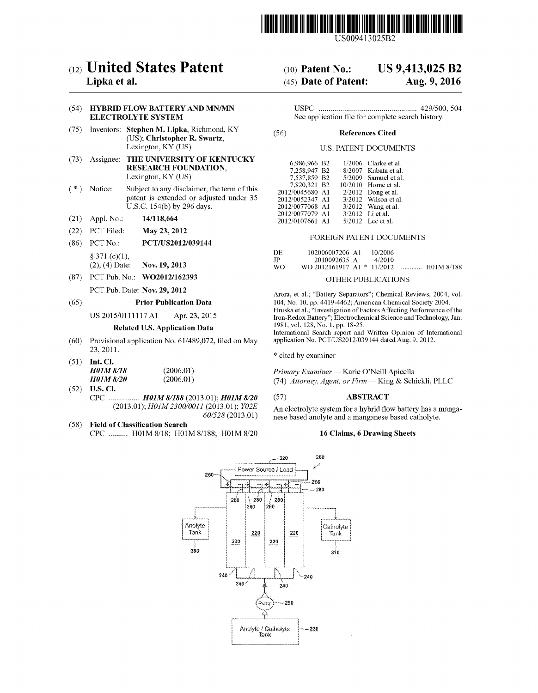

US009413 025B2

## c12) **United States Patent**

### **Lipka et al.**

#### (54) **HYBRID FLOW BATTERY AND MN/MN ELECTROLYTE SYSTEM**

- (75) Inventors: **Stephen M. Lipka,** Riclnnond, KY (US); **Christopher R. Swartz,**  Lexington, KY (US)
- (73) Assignee: **THE UNIVERSITY OF KENTUCKY RESEARCH FOUNDATION,**  Lexington, KY (US)
- ( \*) Notice: Subject to any disclaimer, the term of this patent is extended or adjusted under 35 U.S.C. 154(b) by 296 days.
- (21) Appl. No.: **14/118,664**
- (22) PCT Filed: **May23, 2012**
- (86) PCT No.: **PCT/US2012/039144**   $§ 371 (c)(1),$ 
	- (2), ( 4) Date: **Nov. 19, 2013**
- (87) PCT Pub. No.: **W02012/162393**

## PCT Pub. Date: **Nov. 29, 2012**

(65) **Prior Publication Data** 

US 2015/0111117 Al Apr. 23, 2015

### **Related U.S. Application Data**

- (60) Provisional application No. 61/489,072, filed on May 23,2011.
- (51) **Int. Cl.**  *H01M8/18 H01M8/20*  (2006.01) (2006.01)
- (52) **U.S. Cl.**  CPC ................ *HOlM 81188* (2013.01); *HOlM 8120*  (2013.01); *HOlM 2300/0011* (2013.01); *Y02E 60/528* (2013.01)
- (58) **Field of Classification Search** 
	- CPC .......... HOlM 8/18; HOlM 8/188; HOlM 8/20

#### (10) **Patent No.: US 9,413,025 B2**

#### (45) **Date of Patent: Aug. 9, 2016**

USPC .................................................. 429/500, 504 See application file for complete search history.

#### (56) **References Cited**

#### U.S. PATENT DOCUMENTS

| 6.986.966 B2    |         | 1/2006 Clarke et al. |
|-----------------|---------|----------------------|
| 7,258,947 B2    |         | 8/2007 Kubata et al. |
| 7,537,859 B2    |         | 5/2009 Samuel et al. |
| 7,820,321 B2    | 10/2010 | Horne et al.         |
| 2012/0045680 A1 | 2/2012  | Dong et al.          |
| 2012/0052347 A1 |         | 3/2012 Wilson et al. |
| 2012/0077068 A1 |         | $3/2012$ Wang et al. |
| 2012/0077079 A1 |         | 3/2012 Li et al.     |
| 2012/0107661 A1 |         | 5/2012 Lee et al.    |

#### FOREIGN PATENT DOCUMENTS

| DE  | 102006007206 A1            |  | 10/2006 |   |            |
|-----|----------------------------|--|---------|---|------------|
| JP  | 2010092635 A               |  | 4/2010  |   |            |
| WO. | WO 2012161917 A1 * 11/2012 |  |         | . | H01M 8/188 |

#### OTHER PUBLICATIONS

Arora, et al.; "Battery Separators"; Chemical Reviews, 2004, vol. 104, No. 10, pp. 4419-4462; American Chemical Society 2004. Hruska et al.; "Investigation of Factors Affecting Performance of the Iron-Redox Battery"; Electrochemical Science and Technology, Jan. 1981, vol. 128, No. 1, pp. 18-25.

International Search report and Written Opinion of International application No. PCT/US2012/039144 dated Aug. 9, 2012.

\* cited by examiner

*Primary Examiner-* Karie O'Neill Apicella (74) *Attorney, Agent, or Firm-* King & Schickli, PLLC

#### (57) **ABSTRACT**

An electrolyte system for a hybrid flow battery has a manganese based anolyte and a manganese based catholyte.

### **16 Claims, 6 Drawing Sheets**

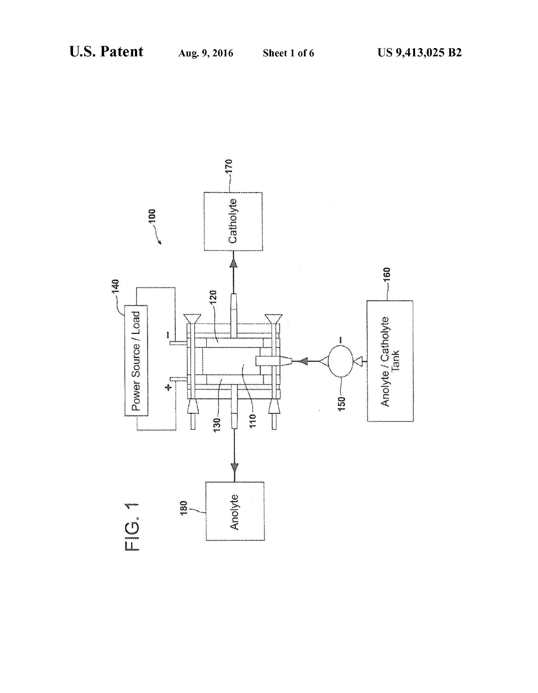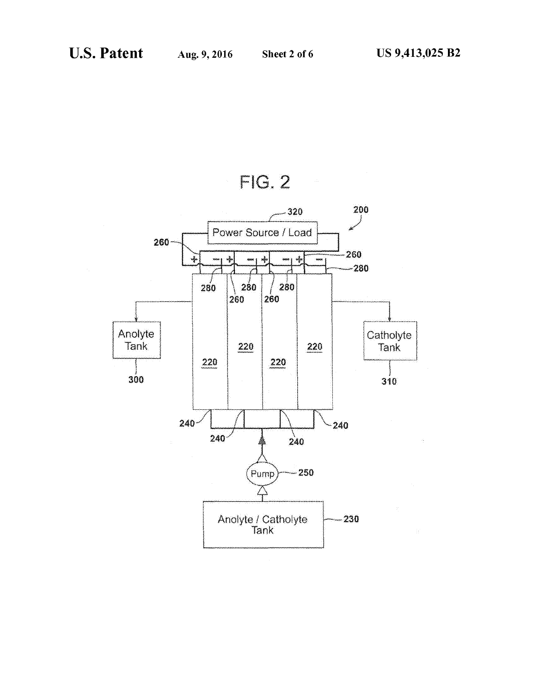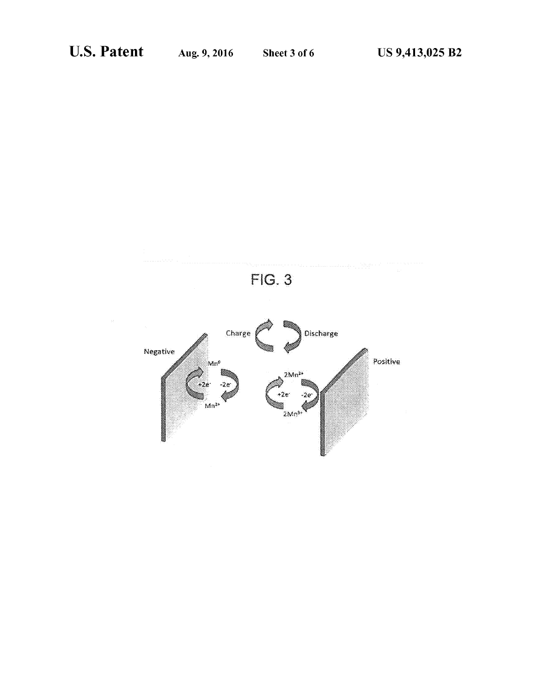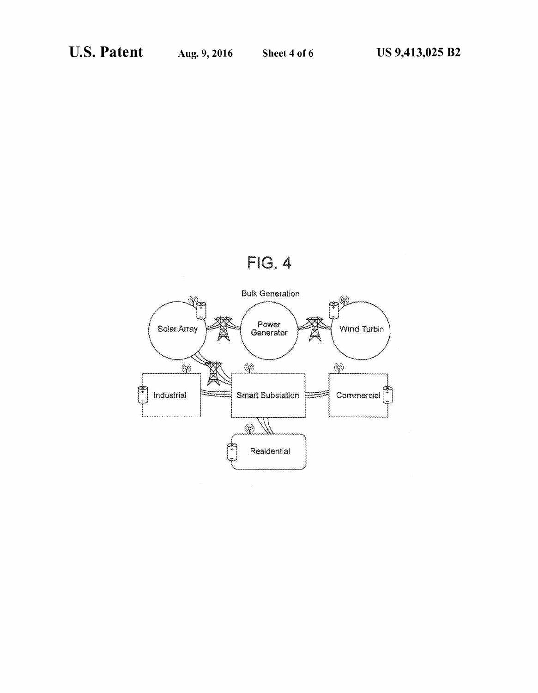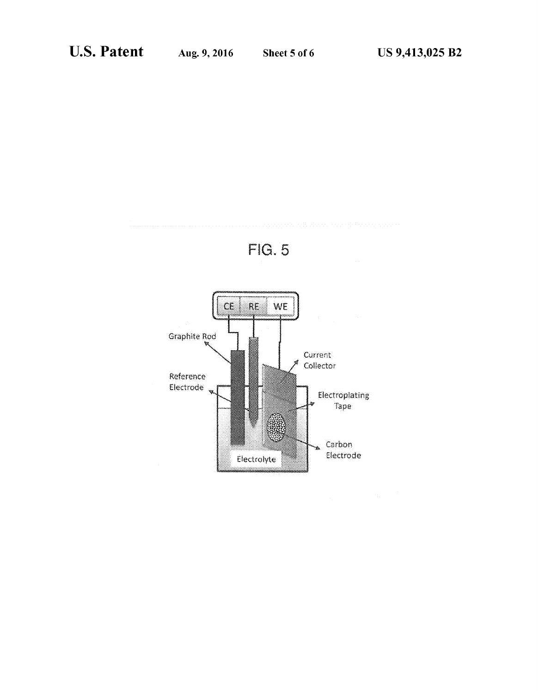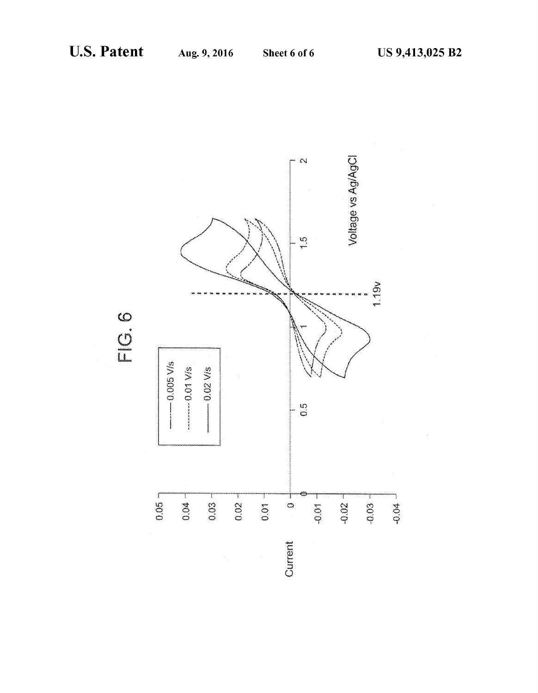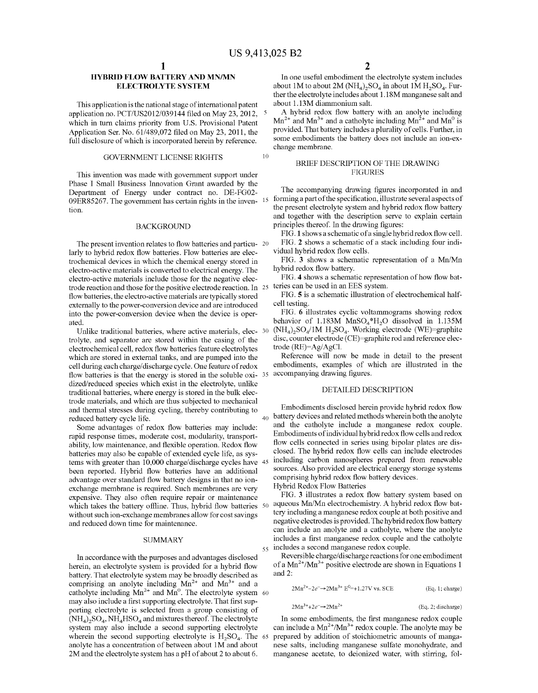#### **HYBRID FLOW BATTERY AND MN/MN ELECTROLYTE SYSTEM**

This application is the national stage of international patent application no. PCT/US2012/039144 filed on May 23, 2012, which in turn claims priority from U.S. Provisional Patent Application Ser. No. 61/489,072 filed on May 23, 2011, the full disclosure of which is incorporated herein by reference.

#### GOVERNMENT LICENSE RIGHTS 10

This invention was made with government support under Phase I Small Business Innovation Grant awarded by the Department of Energy under contract no. DE-FG02- 09ER85267. The government has certain rights in the inven- 15 tion.

#### BACKGROUND

The present invention relates to flow batteries and particu- 20 larly to hybrid redox flow batteries. Flow batteries are electrochemical devices in which the chemical energy stored in electro-active materials is converted to electrical energy. The electro-active materials include those for the negative electrode reaction and those for the positive electrode reaction. In 25 flow batteries, the electro-active materials are typically stored externally to the power-conversion device and are introduced into the power-conversion device when the device is operated.

Unlike traditional batteries, where active materials, elec- 30 trolyte, and separator are stored within the casing of the electrochemical cell, redox flow batteries feature electrolytes which are stored in external tanks, and are pumped into the cell during each charge/discharge cycle. One feature of redox flow batteries is that the energy is stored in the soluble oxi- 35 accompanying drawing figures. dized/reduced species which exist in the electrolyte, unlike traditional batteries, where energy is stored in the bulk electrode materials, and which are thus subjected to mechanical and thermal stresses during cycling, thereby contributing to reduced battery cycle life.

Some advantages of redox flow batteries may include: rapid response times, moderate cost, modularity, transportability, low maintenance, and flexible operation. Redox flow batteries may also be capable of extended cycle life, as systems with greater than 10,000 charge/discharge cycles have 45 been reported. Hybrid flow batteries have an additional advantage over standard flow battery designs in that no ionexchange membrane is required. Such membranes are very expensive. They also often require repair or maintenance which takes the battery offline. Thus, hybrid flow batteries 50 without such ion-exchange membranes allow for cost savings and reduced down time for maintenance.

#### **SUMMARY**

In accordance with the purposes and advantages disclosed herein, an electrolyte system is provided for a hybrid flow battery. That electrolyte system may be broadly described as comprising an anolyte including  $Mn^{2+}$  and  $Mn^{3+}$  and a catholyte including  $Mn^{2+}$  and  $Mn^0$ . The electrolyte system 60 may also include a first supporting electrolyte. That first supporting electrolyte is selected from a group consisting of  $(NH_4)$ ,  $SO_4$ ,  $NH_4HSO_4$  and mixtures thereof. The electrolyte system may also include a second supporting electrolyte wherein the second supporting electrolyte is  $H_2SO_4$ . The 65 anolyte has a concentration of between about 1M and about 2M and the electrolyte system has a pH of about 2 to about 6.

In one useful embodiment the electrolyte system includes about 1M to about 2M  $(NH_4)$ ,  $SO_4$  in about 1M  $H_2SO_4$ . Further the electrolyte includes about 1.18M manganese salt and about 1.13M diammonium salt.

A hybrid redox flow battery with an anolyte including  $Mn^{2+}$  and  $Mn^{3+}$  and a catholyte including  $Mn^{2+}$  and  $Mn^{0}$  is provided. That battery includes a plurality of cells. Further, in some embodiments the battery does not include an ion-exchange membrane.

#### BRIEF DESCRIPTION OF THE DRAWING FIGURES

The accompanying drawing figures incorporated in and forming a part of the specification, illustrate several aspects of the present electrolyte system and hybrid redox flow battery and together with the description serve to explain certain principles thereof. In the drawing figures:

FIG. 1 shows a schematic of a single hybrid redox flow cell.

FIG. **2** shows a schematic of a stack including four individual hybrid redox flow cells.

FIG. **3** shows a schematic representation of a Mn/Mn hybrid redox flow battery.

FIG. **4** shows a schematic representation of how flow batteries can be used in an EES system.

FIG. **5** is a schematic illustration of electrochemical halfcell testing.

FIG. 6 illustrates cyclic voltammograms showing redox behavior of 1.183M  $MnSO<sub>4</sub><sup>*</sup>H<sub>2</sub>O$  dissolved in 1.135M  $(NH_4)_2SO_4/1M H_2SO_4$ . Working electrode (WE)=graphite disc, counter electrode (CE)=graphite rod and reference electrode (RE)=Ag/AgCI.

Reference will now be made in detail to the present embodiments, examples of which are illustrated in the

#### DETAILED DESCRIPTION

Embodiments disclosed herein provide hybrid redox flow  $_{40}$  battery devices and related methods wherein both the anolyte and the catholyte include a manganese redox couple. Embodiments of individual hybrid redox flow cells and redox flow cells connected in series using bipolar plates are disclosed. The hybrid redox flow cells can include electrodes including carbon nanospheres prepared from renewable sources. Also provided are electrical energy storage systems comprising hybrid redox flow battery devices.

Hybrid Redox Flow Batteries

FIG. **3** illustrates a redox flow battery system based on aqueous Mn/Mn electrochemistry. A hybrid redox flow battery including a manganese redox couple at both positive and negative electrodes is provided. The hybrid redox flow battery can include an anolyte and a catholyte, where the anolyte includes a first manganese redox couple and the catholyte 55 includes a second manganese redox couple.

Reversible charge/discharge reactions for one embodiment of a  $Mn^{2+}/Mn^{3+}$  positive electrode are shown in Equations 1 and 2:

 $2Mn^{2+}$ -2 $e^-$ →2 $Mn^{3+}E^{0=+1.27V}$  vs. SCE (Eq. 1; charge)

$$
2Mn3++2e-\rightarrow 2Mn2+
$$
 (Eq. 2, discharge)

In some embodiments, the first manganese redox couple can include a  $Mn^{2+}/Mn^{3+}$  redox couple. The anolyte may be prepared by addition of stoichiometric amounts of manganese salts, including manganese sulfate monohydrate, and manganese acetate, to deionized water, with stirring, fol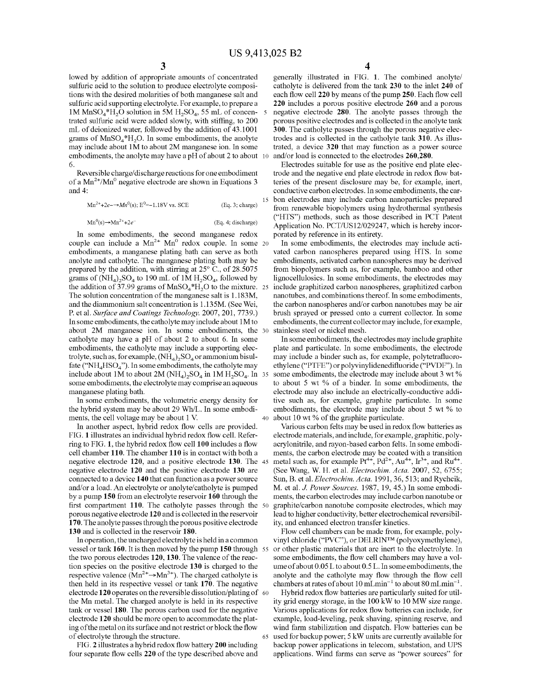lowed by addition of appropriate amounts of concentrated sulfuric acid to the solution to produce electrolyte compositions with the desired molarities of both manganese salt and sulfuric acid supporting electrolyte. For example, to prepare a 1M  $MnSO_4*H_2O$  solution in 5M  $H_2SO_4$ , 55 mL of concentrated sulfuric acid were added slowly, with stiffing, to 200 mL of deionized water, followed by the addition of 43.1001 grams of  $MnSO<sub>4</sub><sup>*</sup>H<sub>2</sub>O$ . In some embodiments, the anolyte may include about 1M to about 2M manganese ion. In some embodiments, the anolyte may have a pH of about 2 to about 10 6.

Reversible charge/discharge reactions for one embodiment of a Mn<sup>2+</sup>/Mn<sup>o</sup> negative electrode are shown in Equations 3 and 4:

 $Mn^{2+}+2e^{-} \rightarrow Mn^{0}(s)$ : E<sup>0</sup>=-1.18V vs. SCE (Eq. 3; charge)

 $Mn^0(s) \rightarrow Mn^{2+} + 2e^-$ 

(Eq. 4; discharge)

In some embodiments, the second manganese redox couple can include a  $Mn^{2+} Mn^0$  redox couple. In some 20 embodiments, a manganese plating bath can serve as both anolyte and catholyte. The manganese plating bath may be prepared by the addition, with stirring at 25° C., of 28.5075 grams of  $(NH_4)_2SO_4$  to 190 mL of 1M  $H_2SO_4$ , followed by the addition of 37.99 grams of  $MnSO<sub>4</sub><sup>*</sup>H<sub>2</sub>O$  to the mixture. 25 The solution concentration of the manganese salt is 1.183M, and the diammonium salt concentration is !.135M. (See Wei, P. et al. *Surface and Coatings Technology*. 2007, 201, 7739.) In some embodiments, the catholyte may include about 1M to about 2M manganese ion. In some embodiments, the catholyte may have a pH of about 2 to about 6. In some embodiments, the catholyte may include a supporting electrolyte, such as, for example,  $(NH_4)_2SO_4$  or ammonium bisulfate (" $NH<sub>4</sub>HSO<sub>4</sub>$ "). In some embodiments, the catholyte may include about 1M to about 2M  $(NH_4)$ ,  $SO_4$  in 1M  $H_2SO_4$ . In 35 some embodiments, the electrolyte may comprise an aqueous manganese plating bath.

In some embodiments, the volumetric energy density for the hybrid system may be about 29 Wh/L. In some embodiments, the cell voltage may be about 1 V.

In another aspect, hybrid redox flow cells are provided. FIG. **1** illustrates an individual hybrid redox flow cell. Referring to FIG. 1, the hybrid redox flow cell 100 includes a flow cell chamber **110.** The chamber **110** is in contact with both a negative electrode **120,** and a positive electrode **130.** The negative electrode **120** and the positive electrode **130** are connected to a device **140** that can function as a power source and/or a load. An electrolyte or anolyte/catholyte is pumped by a pump **150** from an electrolyte reservoir **160** through the first compartment 110. The catholyte passes through the 50 porous negative electrode **120** and is collected in the reservoir **170.** The anolyte passes through the porous positive electrode **130** and is collected in the reservoir **180.** 

In operation, the uncharged electrolyte is held in a common vessel or tank **160.** It is then moved by the pump **150** through the two porous electrodes **120, 130.** The valence of the reaction species on the positive electrode **130** is charged to the respective valence  $(Mn^{2+} \rightarrow Mn^{3+})$ . The charged catholyte is then held in its respective vessel or tank **170.** The negative electrode 120 operates on the reversible dissolution/plating of 60 the Mn metal. The charged anolyte is held in its respective tank or vessel 180. The porous carbon used for the negative electrode **120** should be more open to accommodate the plating of the metal on its surface and not restrict or block the flow of electrolyte through the structure.

FIG. **2** illustrates a hybrid redox flow battery **200** including four separate flow cells **220** of the type described above and

generally illustrated in FIG. **1.** The combined anolyte/ catholyte is delivered from the tank **230** to the inlet **240** of each flow cell220 by means of the pump **250.** Each flow cell **220** includes a porous positive electrode **260** and a porous negative electrode **280.** The anolyte passes through the porous positive electrodes and is collected in the anolyte tank **300.** The catholyte passes through the porous negative electrodes and is collected in the catholyte tank **310.** As illustrated, a device **320** that may function as a power source and/or load is connected to the electrodes 260,280.

Electrodes suitable for use as the positive end plate electrode and the negative end plate electrode in redox flow batteries of the present disclosure may be, for example, inert, conductive carbon electrodes. In some embodiments, the car- 15 bon electrodes may include carbon nanoparticles prepared from renewable biopolymers using hydrothermal synthesis ("HTS") methods, such as those described in PCT Patent Application No. PCT/US12/029247, which is hereby incorporated by reference in its entirety.

In some embodiments, the electrodes may include activated carbon nanospheres prepared using HTS. In some embodiments, activated carbon nanospheres may be derived from biopolymers such as, for example, bamboo and other lignocellulosics. In some embodiments, the electrodes may 25 include graphitized carbon nanospheres, graphitized carbon nanotubes, and combinations thereof. In some embodiments, the carbon nanospheres and/or carbon nanotubes may be air brush sprayed or pressed onto a current collector. In some embodiments, the current collector may include, for example, stainless steel or nickel mesh.

In some embodiments, the electrodes may include graphite plate and particulate. In some embodiments, the electrode may include a binder such as, for example, polytetrafluoroethylene ("PTFE") or polyvinylidenedifluoride ("PVDF"). In some embodiments, the electrode may include about 3 wt % to about 5 wt % of a binder. In some embodiments, the electrode may also include an electrically-conductive additive such as, for example, graphite particulate. In some embodiments, the electrode may include about 5 wt % to 40 about 10 wt% of the graphite particulate.

Various carbon felts may be used in redox flow batteries as electrode materials, and include, for example, graphitic, polyacrylonitrile, and rayon-based carbon felts. In some embodiments, the carbon electrode may be coated with a transition 45 metal such as, for example  $Pt^{4+}$ ,  $Pd^{2+}$ ,  $Au^{4+}$ ,  $Ir^{3+}$ , and  $Ru^{4+}$ . (See Wang, W. H. et al. *Electrochim. Acta.* 2007, 52, 6755; Sun, B. eta!. *Electrochim. Acta.* 1991, 36, 513; and Rychcik, M. eta!. *J. Power Sources.* 1987, 19, 45.) In some embodiments, the carbon electrodes may include carbon nanotube or graphite/carbon nanotube composite electrodes, which may lead to higher conductivity, better electrochemical reversibility, and enhanced electron transfer kinetics.

Flow cell chambers can be made from, for example, polyvinyl chloride ("PVC"), or DELRIN™ (polyoxymethylene), 55 or other plastic materials that are inert to the electrolyte. In some embodiments, the flow cell chambers may have a volume of about 0.05 L to about 0.5 L. In some embodiments, the anolyte and the catholyte may flow through the flow cell chambers at rates of about 10 mLmin<sup>-1</sup> to about 80 mLmin<sup>-1</sup>.

Hybrid redox flow batteries are particularly suited for utility grid energy storage, in the 100 kW to 10 MW size range. Various applications for redox flow batteries can include, for example, load-leveling, peak shaving, spinning reserve, and wind farm stabilization and dispatch. Flow batteries can be 65 used for backup power; 5 kW units are currently available for backup power applications in telecom, substation, and UPS applications. Wind farms can serve as "power sources" for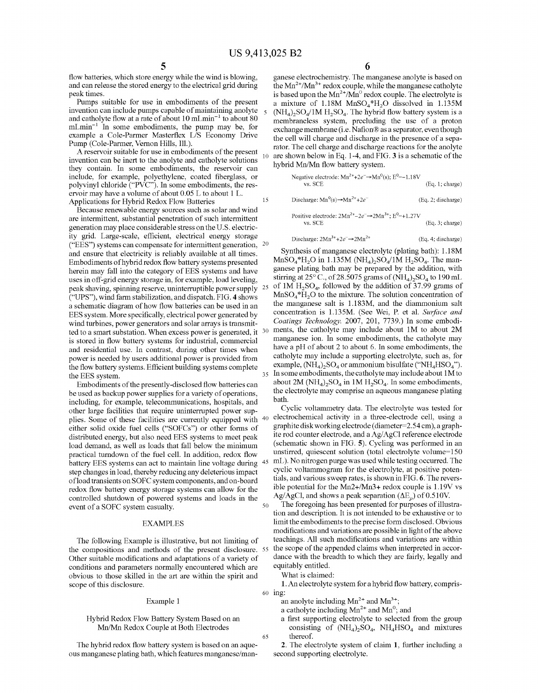flow batteries, which store energy while the wind is blowing, and can release the stored energy to the electrical grid during peak times.

Pumps suitable for use in embodiments of the present invention can include pumps capable of maintaining anolyte and catholyte flow at a rate of about  $10 \text{ mLmin}^{-1}$  to about  $80$  $mLmin^{-1}$  In some embodiments, the pump may be, for example a Cole-Parmer Masterflex L/S Economy Drive Pump (Cole-Parmer, Vernon Hills, Ill.).

A reservoir suitable for use in embodiments of the present invention can be inert to the anolyte and catholyte solutions <sup>10</sup> they contain. In some embodiments, the reservoir can include, for example, polyethylene, coated fiberglass, or polyvinyl chloride ("PVC"). In some embodiments, the reservoir may have a volume of about 0.05 L to about 1 L. Applications for Hybrid Redox Flow Batteries 15

Because renewable energy sources such as solar and wind are intermittent, substantial penetration of such intermittent generation may place considerable stress on the U.S. electricity grid. Large-scale, efficient, electrical energy storage ("EES") systems can compensate for intermittent generation, 20 and ensure that electricity is reliably available at all times. Embodiments ofhybrid redox flow battery systems presented herein may fall into the category of EES systems and have uses in off-grid energy storage in, for example, load leveling, peak shaving, spinning reserve, uninterruptible power supply 25 ("UPS"), wind farm stabilization, and dispatch. FIG. **4** shows a schematic diagram of how flow batteries can be used in an EES system. More specifically, electrical power generated by wind turbines, power generators and solar arrays is transmitted to a smart substation. When excess power is generated, it <sup>30</sup> is stored in flow battery systems for industrial, commercial and residential use. In contrast, during other times when power is needed by users additional power is provided from the flow battery systems. Efficient building systems complete the EES system.  $\frac{35}{25}$  In some embodiments, the catholyte may include about 1M to

Embodiments of the presently-disclosed flow batteries can be used as backup power supplies for a variety of operations, including, for example, telecommunications, hospitals, and other large facilities that require uninterrupted power supplies. Some of these facilities are currently equipped with <sup>40</sup> either solid oxide fuel cells ("SOFCs") or other forms of distributed energy, but also need EES systems to meet peak load demand, as well as loads that fall below the minimum practical turndown of the fuel cell. In addition, redox flow battery EES systems can act to maintain line voltage during 45 step changes in load, thereby reducing any deleterious impact ofload transients on SOFC system components, and on-board redox flow battery energy storage systems can allow for the controlled shutdown of powered systems and loads in the event of a SOFC system casualty.

#### EXAMPLES

The following Example is illustrative, but not limiting of the compositions and methods of the present disclosure. 55 Other suitable modifications and adaptations of a variety of conditions and parameters normally encountered which are obvious to those skilled in the art are within the spirit and scope of this disclosure.

#### Example 1

#### Hybrid Redox Flow Battery System Based on an Mn/Mn Redox Couple at Both Electrodes

The hybrid redox flow battery system is based on an aqueous manganese plating bath, which features manganese/manganese electrochemistry. The manganese anolyte is based on the  $Mn^{2+}/Mn^{3+}$  redox couple, while the manganese catholyte is based upon the  $Mn^{2+}/Mn^0$  redox couple. The electrolyte is a mixture of  $1.18M$  MnSO<sub>4</sub><sup>\*</sup>H<sub>2</sub>O dissolved in 1.135M  $(NH_4)$ <sub>2</sub>SO<sub>4</sub>/1M  $H_2$ SO<sub>4</sub>. The hybrid flow battery system is a membraneless system, precluding the use of a proton exchange membrane (i.e. Nation® as a separator, even though the cell will charge and discharge in the presence of a separator. The cell charge and discharge reactions for the anolyte are shown below in Eq. 1-4, and FIG. **3** is a schematic of the hybrid Mn/Mn flow battery system.

| Negative electrode: $Mn^{2+}+2e^- \rightarrow Mn^0(s)$ ; $E^0=-1.18V$<br>vs. SCE         | (Eq. 1; charge)    |
|------------------------------------------------------------------------------------------|--------------------|
| Discharge: $Mn^0(s) \rightarrow Mn^{2+} + 2e^-$                                          | (Eq. 2; discharge) |
| Positive electrode: $2Mn^{2+}$ – $2e^ \rightarrow$ $2Mn^{3+}$ ; $E^0$ =+1.27V<br>vs. SCE | (Eq. 3; charge)    |
| Discharge: $2Mn^{3+}+2e^- \rightarrow 2Mn^{2+}$                                          | (Eq. 4, discharge) |

Synthesis of manganese electrolyte (plating bath): 1.18M  $MnSO_4*H_2O$  in 1.135M (NH<sub>4</sub>)<sub>2</sub>SO<sub>4</sub>/1M H<sub>2</sub>SO<sub>4</sub>. The manganese plating bath may be prepared by the addition, with stirring at 25 $^{\circ}$  C., of 28.5075 grams of (NH<sub>4</sub>), SO<sub>4</sub> to 190 mL of  $1\text{M H}_2\text{SO}_4$ , followed by the addition of 37.99 grams of  $MnSO<sub>4</sub><sup>*</sup>H<sub>2</sub>O$  to the mixture. The solution concentration of the manganese salt is 1.183M, and the diammonium salt concentration is !.135M. (See Wei, P. et a!. *Surface and Coatings Technology.* 2007, 201, 7739.) In some embodiments, the catholyte may include about 1M to about 2M manganese ion. In some embodiments, the catholyte may have a pH of about 2 to about 6. In some embodiments, the catholyte may include a supporting electrolyte, such as, for example,  $(NH_4)$ ,  $SO_4$  or ammonium bisulfate (" $NH_4HSO_4$ "). about 2M (NH<sub>4</sub>)<sub>2</sub>SO<sub>4</sub> in 1M H<sub>2</sub>SO<sub>4</sub>. In some embodiments, the electrolyte may comprise an aqueous manganese plating bath.

Cyclic voltammetry data. The electrolyte was tested for electrochemical activity in a three-electrode cell, using a graphite disk working electrode ( diameter=2.54 em), a graphite rod counter electrode, and a Ag/AgCl reference electrode (schematic shown in FIG. **5).** Cycling was performed in an unstirred, quiescent solution (total electrolyte volume=150 mL). No nitrogen purge was used while testing occurred. The cyclic voltammogram for the electrolyte, at positive potentials, and various sweep rates, is shown in FIG. **6.** The reversible potential for the Mn2+/Mn3+ redox couple is 1.19V vs Ag/AgCl, and shows a peak separation ( $\Delta E_p$ ) of 0.510V.

The foregoing has been presented for purposes of illustration and description. It is not intended to be exhaustive or to limit the embodiments to the precise form disclosed. Obvious modifications and variations are possible in light of the above teachings. All such modifications and variations are within the scope of the appended claims when interpreted in accordance with the breadth to which they are fairly, legally and equitably entitled.

What is claimed:

50

65

**1.** An electrolyte system for a hybrid flow battery, compris-60 ing:

an anolyte including  $Mn^{2+}$  and  $Mn^{3+}$ ;

- a catholyte including  $Mn^{2+}$  and  $Mn^0$ ; and
- a first supporting electrolyte to selected from the group consisting of  $(NH_4)_2SO_4$ ,  $NH_4HSO_4$  and mixtures thereof.

**2.** The electrolyte system of claim **1,** further including a second supporting electrolyte.